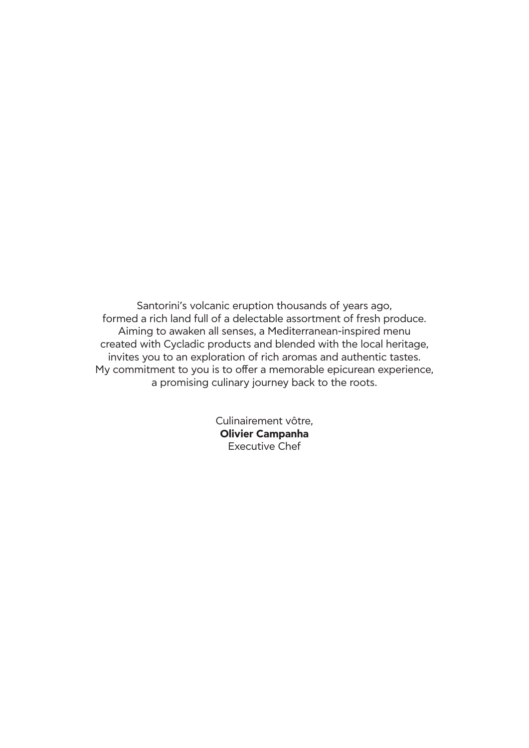Santorini's volcanic eruption thousands of years ago, formed a rich land full of a delectable assortment of fresh produce. Aiming to awaken all senses, a Mediterranean-inspired menu created with Cycladic products and blended with the local heritage, invites you to an exploration of rich aromas and authentic tastes. My commitment to you is to offer a memorable epicurean experience, a promising culinary journey back to the roots.

> Culinairement vôtre, **Olivier Campanha** Executive Chef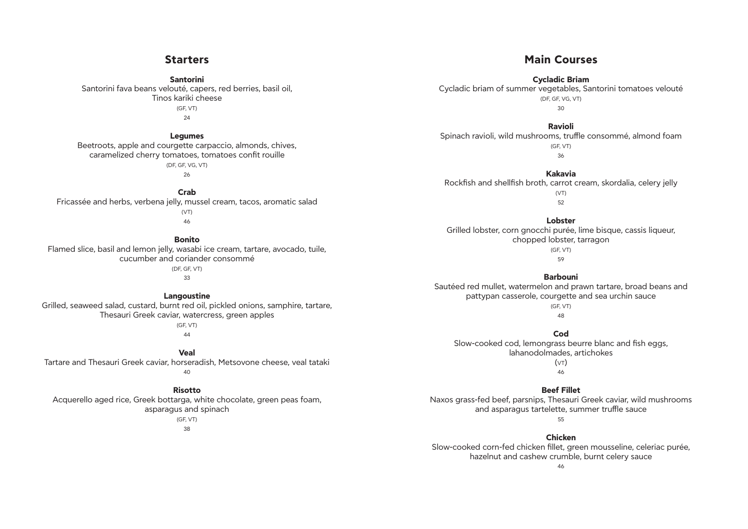## **Starters**

**Santorini** Santorini fava beans velouté, capers, red berries, basil oil, Tinos kariki cheese (GF, VT) 24

### **Legumes**

Beetroots, apple and courgette carpaccio, almonds, chives, caramelized cherry tomatoes, tomatoes confit rouille (DF, GF, VG, VT)

26

**Crab** Fricassée and herbs, verbena jelly, mussel cream, tacos, aromatic salad (VT) 46

### **Bonito**

Flamed slice, basil and lemon jelly, wasabi ice cream, tartare, avocado, tuile, cucumber and coriander consommé (DF, GF, VT)

33

## **Langoustine**

Grilled, seaweed salad, custard, burnt red oil, pickled onions, samphire, tartare, Thesauri Greek caviar, watercress, green apples (GF, VT)

44

## **Veal**

Tartare and Thesauri Greek caviar, horseradish, Metsovone cheese, veal tataki

 $40$ 

## **Risotto**

Acquerello aged rice, Greek bottarga, white chocolate, green peas foam, asparagus and spinach (GF, VT)

38

## **Main Courses**

## **Cycladic Briam** Cycladic briam of summer vegetables, Santorini tomatoes velouté (DF, GF, VG, VT) 30

## **Ravioli** Spinach ravioli, wild mushrooms, truffle consommé, almond foam (GF, VT) 36

**Kakavia** Rockfish and shellfish broth, carrot cream, skordalia, celery jelly (VT) 52

## **Lobster**

Grilled lobster, corn gnocchi purée, lime bisque, cassis liqueur, chopped lobster, tarragon (GF, VT) 59

## **Barbouni**

Sautéed red mullet, watermelon and prawn tartare, broad beans and pattypan casserole, courgette and sea urchin sauce (GF, VT) 48

## **Cod**

Slow-cooked cod, lemongrass beurre blanc and fish eggs, lahanodolmades, artichokes  $(VT)$ 46

# **Beef Fillet**

Naxos grass-fed beef, parsnips, Thesauri Greek caviar, wild mushrooms and asparagus tartelette, summer truffle sauce 55

## **Chicken**

Slow-cooked corn-fed chicken fillet, green mousseline, celeriac purée, hazelnut and cashew crumble, burnt celery sauce 46